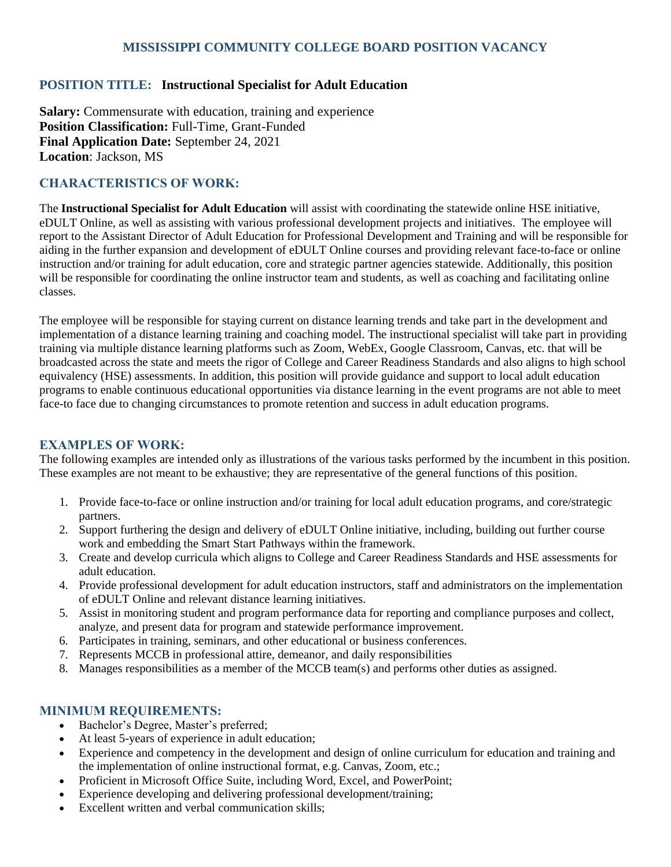# **MISSISSIPPI COMMUNITY COLLEGE BOARD POSITION VACANCY**

## **POSITION TITLE: Instructional Specialist for Adult Education**

**Salary:** Commensurate with education, training and experience Position Classification: Full-Time, Grant-Funded **Final Application Date:** September 24, 2021 **Location**: Jackson, MS

# **CHARACTERISTICS OF WORK:**

The **Instructional Specialist for Adult Education** will assist with coordinating the statewide online HSE initiative, eDULT Online, as well as assisting with various professional development projects and initiatives. The employee will report to the Assistant Director of Adult Education for Professional Development and Training and will be responsible for aiding in the further expansion and development of eDULT Online courses and providing relevant face-to-face or online instruction and/or training for adult education, core and strategic partner agencies statewide. Additionally, this position will be responsible for coordinating the online instructor team and students, as well as coaching and facilitating online classes.

The employee will be responsible for staying current on distance learning trends and take part in the development and implementation of a distance learning training and coaching model. The instructional specialist will take part in providing training via multiple distance learning platforms such as Zoom, WebEx, Google Classroom, Canvas, etc. that will be broadcasted across the state and meets the rigor of College and Career Readiness Standards and also aligns to high school equivalency (HSE) assessments. In addition, this position will provide guidance and support to local adult education programs to enable continuous educational opportunities via distance learning in the event programs are not able to meet face-to face due to changing circumstances to promote retention and success in adult education programs.

# **EXAMPLES OF WORK:**

The following examples are intended only as illustrations of the various tasks performed by the incumbent in this position. These examples are not meant to be exhaustive; they are representative of the general functions of this position.

- 1. Provide face-to-face or online instruction and/or training for local adult education programs, and core/strategic partners.
- 2. Support furthering the design and delivery of eDULT Online initiative, including, building out further course work and embedding the Smart Start Pathways within the framework.
- 3. Create and develop curricula which aligns to College and Career Readiness Standards and HSE assessments for adult education.
- 4. Provide professional development for adult education instructors, staff and administrators on the implementation of eDULT Online and relevant distance learning initiatives.
- 5. Assist in monitoring student and program performance data for reporting and compliance purposes and collect, analyze, and present data for program and statewide performance improvement.
- 6. Participates in training, seminars, and other educational or business conferences.
- 7. Represents MCCB in professional attire, demeanor, and daily responsibilities
- 8. Manages responsibilities as a member of the MCCB team(s) and performs other duties as assigned.

#### **MINIMUM REQUIREMENTS:**

- Bachelor's Degree, Master's preferred;
- At least 5-years of experience in adult education;
- Experience and competency in the development and design of online curriculum for education and training and the implementation of online instructional format, e.g. Canvas, Zoom, etc.;
- Proficient in Microsoft Office Suite, including Word, Excel, and PowerPoint;
- Experience developing and delivering professional development/training;
- Excellent written and verbal communication skills;